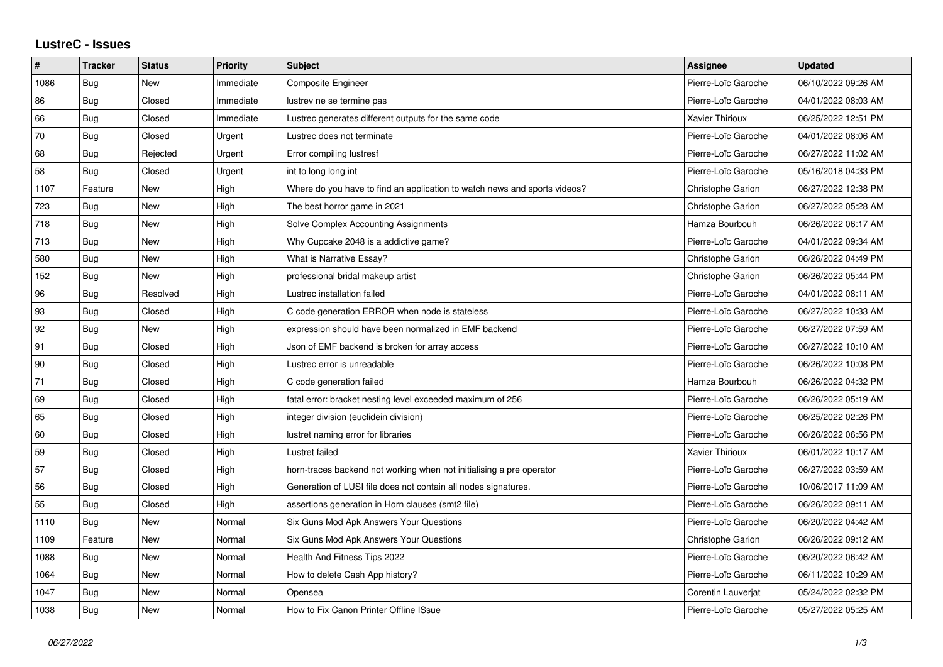## **LustreC - Issues**

| $\sharp$ | <b>Tracker</b> | <b>Status</b> | <b>Priority</b> | Subject                                                                   | Assignee                 | <b>Updated</b>      |
|----------|----------------|---------------|-----------------|---------------------------------------------------------------------------|--------------------------|---------------------|
| 1086     | Bug            | <b>New</b>    | Immediate       | <b>Composite Engineer</b>                                                 | Pierre-Loïc Garoche      | 06/10/2022 09:26 AM |
| 86       | Bug            | Closed        | Immediate       | lustrev ne se termine pas                                                 | Pierre-Loïc Garoche      | 04/01/2022 08:03 AM |
| 66       | <b>Bug</b>     | Closed        | Immediate       | Lustrec generates different outputs for the same code                     | Xavier Thirioux          | 06/25/2022 12:51 PM |
| 70       | Bug            | Closed        | Urgent          | Lustrec does not terminate                                                | Pierre-Loïc Garoche      | 04/01/2022 08:06 AM |
| 68       | Bug            | Rejected      | Urgent          | Error compiling lustresf                                                  | Pierre-Loïc Garoche      | 06/27/2022 11:02 AM |
| 58       | Bug            | Closed        | Urgent          | int to long long int                                                      | Pierre-Loïc Garoche      | 05/16/2018 04:33 PM |
| 1107     | Feature        | <b>New</b>    | High            | Where do you have to find an application to watch news and sports videos? | Christophe Garion        | 06/27/2022 12:38 PM |
| 723      | Bug            | <b>New</b>    | High            | The best horror game in 2021                                              | Christophe Garion        | 06/27/2022 05:28 AM |
| 718      | Bug            | <b>New</b>    | High            | Solve Complex Accounting Assignments                                      | Hamza Bourbouh           | 06/26/2022 06:17 AM |
| 713      | Bug            | New           | High            | Why Cupcake 2048 is a addictive game?                                     | Pierre-Loïc Garoche      | 04/01/2022 09:34 AM |
| 580      | Bug            | <b>New</b>    | High            | What is Narrative Essay?                                                  | Christophe Garion        | 06/26/2022 04:49 PM |
| 152      | Bug            | <b>New</b>    | High            | professional bridal makeup artist                                         | Christophe Garion        | 06/26/2022 05:44 PM |
| 96       | Bug            | Resolved      | High            | Lustrec installation failed                                               | Pierre-Loïc Garoche      | 04/01/2022 08:11 AM |
| 93       | Bug            | Closed        | High            | C code generation ERROR when node is stateless                            | Pierre-Loïc Garoche      | 06/27/2022 10:33 AM |
| 92       | Bug            | <b>New</b>    | High            | expression should have been normalized in EMF backend                     | Pierre-Loïc Garoche      | 06/27/2022 07:59 AM |
| 91       | Bug            | Closed        | High            | Json of EMF backend is broken for array access                            | Pierre-Loïc Garoche      | 06/27/2022 10:10 AM |
| 90       | Bug            | Closed        | High            | Lustrec error is unreadable                                               | Pierre-Loïc Garoche      | 06/26/2022 10:08 PM |
| 71       | Bug            | Closed        | High            | C code generation failed                                                  | Hamza Bourbouh           | 06/26/2022 04:32 PM |
| 69       | Bug            | Closed        | High            | fatal error: bracket nesting level exceeded maximum of 256                | Pierre-Loïc Garoche      | 06/26/2022 05:19 AM |
| 65       | Bug            | Closed        | High            | integer division (euclidein division)                                     | Pierre-Loïc Garoche      | 06/25/2022 02:26 PM |
| 60       | Bug            | Closed        | High            | lustret naming error for libraries                                        | Pierre-Loïc Garoche      | 06/26/2022 06:56 PM |
| 59       | Bug            | Closed        | High            | Lustret failed                                                            | Xavier Thirioux          | 06/01/2022 10:17 AM |
| 57       | Bug            | Closed        | High            | horn-traces backend not working when not initialising a pre operator      | Pierre-Loïc Garoche      | 06/27/2022 03:59 AM |
| 56       | <b>Bug</b>     | Closed        | High            | Generation of LUSI file does not contain all nodes signatures.            | Pierre-Loïc Garoche      | 10/06/2017 11:09 AM |
| 55       | Bug            | Closed        | High            | assertions generation in Horn clauses (smt2 file)                         | Pierre-Loïc Garoche      | 06/26/2022 09:11 AM |
| 1110     | Bug            | <b>New</b>    | Normal          | Six Guns Mod Apk Answers Your Questions                                   | Pierre-Loïc Garoche      | 06/20/2022 04:42 AM |
| 1109     | Feature        | <b>New</b>    | Normal          | Six Guns Mod Apk Answers Your Questions                                   | <b>Christophe Garion</b> | 06/26/2022 09:12 AM |
| 1088     | Bug            | <b>New</b>    | Normal          | Health And Fitness Tips 2022                                              | Pierre-Loïc Garoche      | 06/20/2022 06:42 AM |
| 1064     | Bug            | <b>New</b>    | Normal          | How to delete Cash App history?                                           | Pierre-Loïc Garoche      | 06/11/2022 10:29 AM |
| 1047     | Bug            | <b>New</b>    | Normal          | Opensea                                                                   | Corentin Lauveriat       | 05/24/2022 02:32 PM |
| 1038     | Bug            | <b>New</b>    | Normal          | How to Fix Canon Printer Offline ISsue                                    | Pierre-Loïc Garoche      | 05/27/2022 05:25 AM |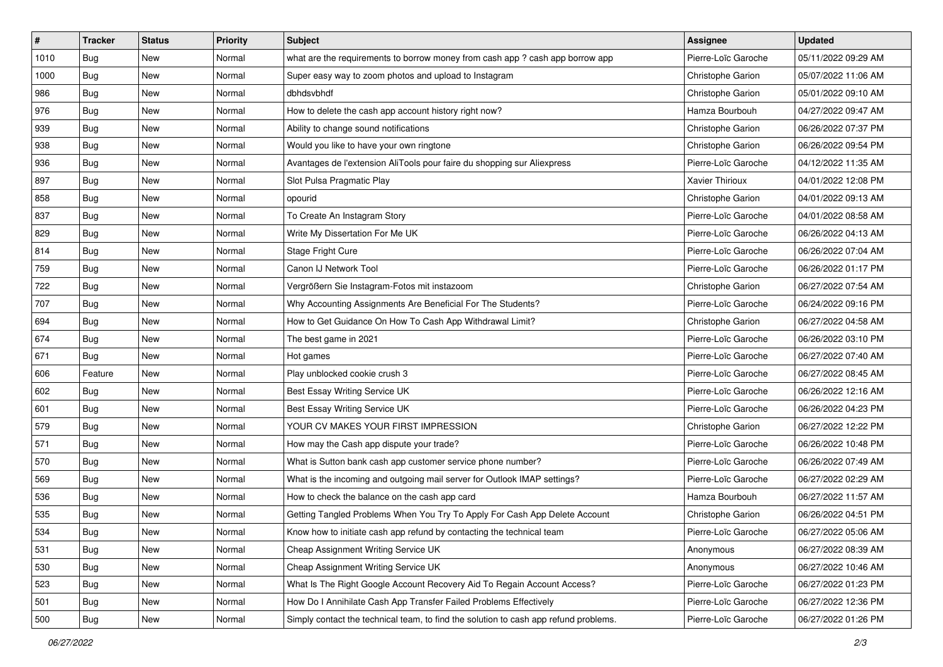| $\vert$ # | <b>Tracker</b> | <b>Status</b> | <b>Priority</b> | <b>Subject</b>                                                                       | <b>Assignee</b>     | <b>Updated</b>      |
|-----------|----------------|---------------|-----------------|--------------------------------------------------------------------------------------|---------------------|---------------------|
| 1010      | Bug            | New           | Normal          | what are the requirements to borrow money from cash app ? cash app borrow app        | Pierre-Loïc Garoche | 05/11/2022 09:29 AM |
| 1000      | Bug            | <b>New</b>    | Normal          | Super easy way to zoom photos and upload to Instagram                                | Christophe Garion   | 05/07/2022 11:06 AM |
| 986       | Bug            | New           | Normal          | dbhdsvbhdf                                                                           | Christophe Garion   | 05/01/2022 09:10 AM |
| 976       | Bug            | <b>New</b>    | Normal          | How to delete the cash app account history right now?                                | Hamza Bourbouh      | 04/27/2022 09:47 AM |
| 939       | Bug            | <b>New</b>    | Normal          | Ability to change sound notifications                                                | Christophe Garion   | 06/26/2022 07:37 PM |
| 938       | <b>Bug</b>     | New           | Normal          | Would you like to have your own ringtone                                             | Christophe Garion   | 06/26/2022 09:54 PM |
| 936       | <b>Bug</b>     | New           | Normal          | Avantages de l'extension AliTools pour faire du shopping sur Aliexpress              | Pierre-Loïc Garoche | 04/12/2022 11:35 AM |
| 897       | Bug            | New           | Normal          | Slot Pulsa Pragmatic Play                                                            | Xavier Thirioux     | 04/01/2022 12:08 PM |
| 858       | Bug            | New           | Normal          | opourid                                                                              | Christophe Garion   | 04/01/2022 09:13 AM |
| 837       | <b>Bug</b>     | <b>New</b>    | Normal          | To Create An Instagram Story                                                         | Pierre-Loïc Garoche | 04/01/2022 08:58 AM |
| 829       | Bug            | New           | Normal          | Write My Dissertation For Me UK                                                      | Pierre-Loïc Garoche | 06/26/2022 04:13 AM |
| 814       | Bug            | New           | Normal          | Stage Fright Cure                                                                    | Pierre-Loïc Garoche | 06/26/2022 07:04 AM |
| 759       | <b>Bug</b>     | <b>New</b>    | Normal          | Canon IJ Network Tool                                                                | Pierre-Loïc Garoche | 06/26/2022 01:17 PM |
| 722       | Bug            | <b>New</b>    | Normal          | Vergrößern Sie Instagram-Fotos mit instazoom                                         | Christophe Garion   | 06/27/2022 07:54 AM |
| 707       | <b>Bug</b>     | <b>New</b>    | Normal          | Why Accounting Assignments Are Beneficial For The Students?                          | Pierre-Loïc Garoche | 06/24/2022 09:16 PM |
| 694       | <b>Bug</b>     | New           | Normal          | How to Get Guidance On How To Cash App Withdrawal Limit?                             | Christophe Garion   | 06/27/2022 04:58 AM |
| 674       | Bug            | <b>New</b>    | Normal          | The best game in 2021                                                                | Pierre-Loïc Garoche | 06/26/2022 03:10 PM |
| 671       | Bug            | <b>New</b>    | Normal          | Hot games                                                                            | Pierre-Loïc Garoche | 06/27/2022 07:40 AM |
| 606       | Feature        | New           | Normal          | Play unblocked cookie crush 3                                                        | Pierre-Loïc Garoche | 06/27/2022 08:45 AM |
| 602       | <b>Bug</b>     | New           | Normal          | Best Essay Writing Service UK                                                        | Pierre-Loïc Garoche | 06/26/2022 12:16 AM |
| 601       | Bug            | New           | Normal          | Best Essay Writing Service UK                                                        | Pierre-Loïc Garoche | 06/26/2022 04:23 PM |
| 579       | Bug            | <b>New</b>    | Normal          | YOUR CV MAKES YOUR FIRST IMPRESSION                                                  | Christophe Garion   | 06/27/2022 12:22 PM |
| 571       | Bug            | <b>New</b>    | Normal          | How may the Cash app dispute your trade?                                             | Pierre-Loïc Garoche | 06/26/2022 10:48 PM |
| 570       | <b>Bug</b>     | New           | Normal          | What is Sutton bank cash app customer service phone number?                          | Pierre-Loïc Garoche | 06/26/2022 07:49 AM |
| 569       | Bug            | New           | Normal          | What is the incoming and outgoing mail server for Outlook IMAP settings?             | Pierre-Loïc Garoche | 06/27/2022 02:29 AM |
| 536       | Bug            | <b>New</b>    | Normal          | How to check the balance on the cash app card                                        | Hamza Bourbouh      | 06/27/2022 11:57 AM |
| 535       | Bug            | New           | Normal          | Getting Tangled Problems When You Try To Apply For Cash App Delete Account           | Christophe Garion   | 06/26/2022 04:51 PM |
| 534       | Bug            | New           | Normal          | Know how to initiate cash app refund by contacting the technical team                | Pierre-Loïc Garoche | 06/27/2022 05:06 AM |
| 531       | Bug            | New           | Normal          | Cheap Assignment Writing Service UK                                                  | Anonymous           | 06/27/2022 08:39 AM |
| 530       | Bug            | New           | Normal          | Cheap Assignment Writing Service UK                                                  | Anonymous           | 06/27/2022 10:46 AM |
| 523       | Bug            | New           | Normal          | What Is The Right Google Account Recovery Aid To Regain Account Access?              | Pierre-Loïc Garoche | 06/27/2022 01:23 PM |
| 501       | Bug            | New           | Normal          | How Do I Annihilate Cash App Transfer Failed Problems Effectively                    | Pierre-Loïc Garoche | 06/27/2022 12:36 PM |
| 500       | <b>Bug</b>     | New           | Normal          | Simply contact the technical team, to find the solution to cash app refund problems. | Pierre-Loïc Garoche | 06/27/2022 01:26 PM |